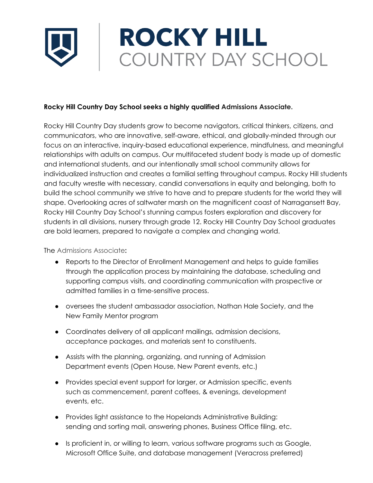## **ROCKY HILL** COUNTRY DAY SCHOOL

## **Rocky Hill Country Day School seeks a highly qualified Admissions Associate.**

Rocky Hill Country Day students grow to become navigators, critical thinkers, citizens, and communicators, who are innovative, self-aware, ethical, and globally-minded through our focus on an interactive, inquiry-based educational experience, mindfulness, and meaningful relationships with adults on campus. Our multifaceted student body is made up of domestic and international students, and our intentionally small school community allows for individualized instruction and creates a familial setting throughout campus. Rocky Hill students and faculty wrestle with necessary, candid conversations in equity and belonging, both to build the school community we strive to have and to prepare students for the world they will shape. Overlooking acres of saltwater marsh on the magnificent coast of Narragansett Bay, Rocky Hill Country Day School's stunning campus fosters exploration and discovery for students in all divisions, nursery through grade 12. Rocky Hill Country Day School graduates are bold learners, prepared to navigate a complex and changing world.

## The Admissions Associate**:**

- Reports to the Director of Enrollment Management and helps to guide families through the application process by maintaining the database, scheduling and supporting campus visits, and coordinating communication with prospective or admitted families in a time-sensitive process.
- oversees the student ambassador association, Nathan Hale Society, and the New Family Mentor program
- Coordinates delivery of all applicant mailings, admission decisions, acceptance packages, and materials sent to constituents.
- Assists with the planning, organizing, and running of Admission Department events (Open House, New Parent events, etc.)
- Provides special event support for larger, or Admission specific, events such as commencement, parent coffees, & evenings, development events, etc.
- Provides light assistance to the Hopelands Administrative Building: sending and sorting mail, answering phones, Business Office filing, etc.
- Is proficient in, or willing to learn, various software programs such as Google, Microsoft Office Suite, and database management (Veracross preferred)